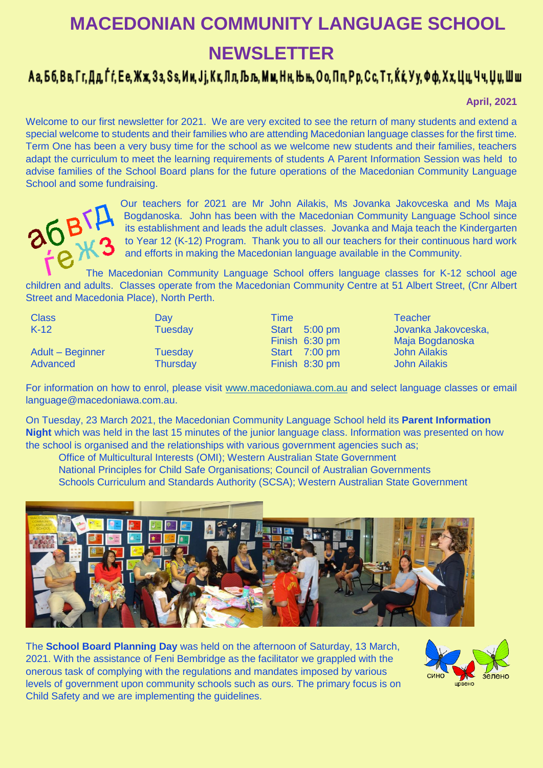## **MACEDONIAN COMMUNITY LANGUAGE SCHOOL NEWSLETTER**

## Аа, Бб, Вв, Гг, Дд, Ѓѓ, Ее, Жж, Зз, Ѕѕ, Ии, Јј, Кк, Лл, Љљ, Мм, Нн, Њњ, Оо, Пп, Рр, Сс, Тт, Ќќ, Уу, Фф, Хх, Цц, Чч, Џџ, Шш

**April, 2021**

Welcome to our first newsletter for 2021. We are very excited to see the return of many students and extend a special welcome to students and their families who are attending Macedonian language classes for the first time. Term One has been a very busy time for the school as we welcome new students and their families, teachers adapt the curriculum to meet the learning requirements of students A Parent Information Session was held to advise families of the School Board plans for the future operations of the Macedonian Community Language School and some fundraising.



Our teachers for 2021 are Mr John Ailakis, Ms Jovanka Jakovceska and Ms Maja Bogdanoska. John has been with the Macedonian Community Language School since its establishment and leads the adult classes. Jovanka and Maja teach the Kindergarten to Year 12 (K-12) Program. Thank you to all our teachers for their continuous hard work and efforts in making the Macedonian language available in the Community.

The Macedonian Community Language School offers language classes for K-12 school age children and adults. Classes operate from the Macedonian Community Centre at 51 Albert Street, (Cnr Albert Street and Macedonia Place), North Perth.

| <b>Class</b>     | Dav             | Time           | Teacher             |
|------------------|-----------------|----------------|---------------------|
| $K-12$           | <b>Tuesday</b>  | Start 5:00 pm  | Jovanka Jakovceska, |
|                  |                 | Finish 6:30 pm | Maja Bogdanoska     |
| Adult - Beginner | Tuesday         | Start 7:00 pm  | <b>John Ailakis</b> |
| Advanced         | <b>Thursday</b> | Finish 8:30 pm | <b>John Ailakis</b> |

For information on how to enrol, please visit [www.macedoniawa.com.au](http://www.macedoniawa.com.au/) and select language classes or email language@macedoniawa.com.au.

On Tuesday, 23 March 2021, the Macedonian Community Language School held its **Parent Information Night** which was held in the last 15 minutes of the junior language class. Information was presented on how the school is organised and the relationships with various government agencies such as;

Office of Multicultural Interests (OMI); Western Australian State Government National Principles for Child Safe Organisations; Council of Australian Governments Schools Curriculum and Standards Authority (SCSA); Western Australian State Government



The **School Board Planning Day** was held on the afternoon of Saturday, 13 March, 2021. With the assistance of Feni Bembridge as the facilitator we grappled with the onerous task of complying with the regulations and mandates imposed by various levels of government upon community schools such as ours. The primary focus is on Child Safety and we are implementing the guidelines.